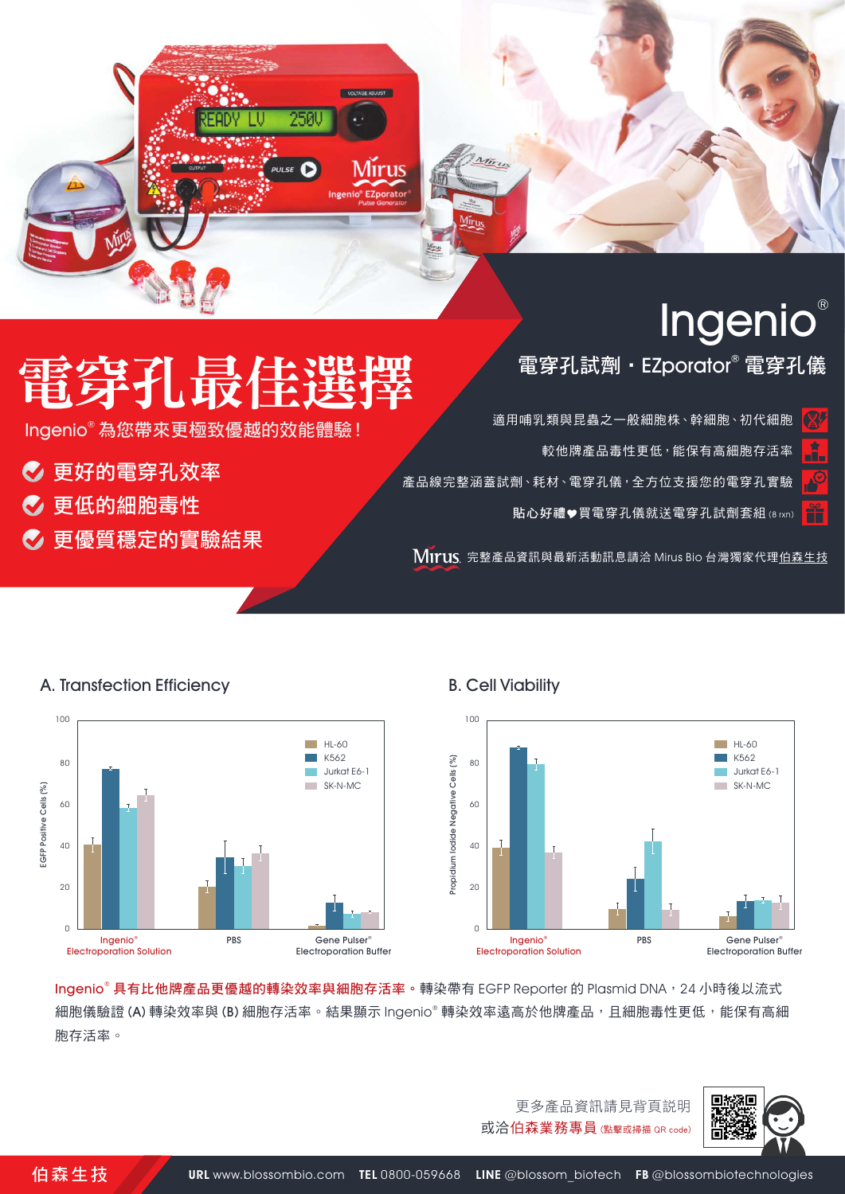

# 電牙孔取佳进

250

PULSE  $\bigcirc$ 

Mirus

lngenio® 為您帶來更極致優越的效能體驗!

- ◎ 更好的電穿孔效率
- ◆ 更低的細胞毒性
- ◆ 更優質穩定的實驗結果

A. Transfection Efficiency

電穿孔試劑 · EZporator® 電穿孔儀

適用哺乳類與昆蟲之一般細胞株、幹細胞、初代細胞 較他牌產品毒性更低,能保有高細胞存活率 產品線完整涵蓋試劑、耗材、電穿孔儀,全方位支援您的電穿孔實驗 貼心好禮♥買電穿孔儀就送電穿孔試劑套組 (8 rxn)

MITUS 完整產品資訊與最新活動訊息請洽 Mirus Bio 台灣獨家代[理伯森生技](https://www.blossombio.com/)



## B. Cell Viability



**Ingenio® 具有比他牌產品更優越的轉染效率與細胞存活率。**轉染帶有 EGFP Reporter 的 Plasmid DNA,24 小時後以流式 細胞儀驗證 (A) 轉染效率與 (B) 細胞存活率。結果顯示 Ingenio® 轉染效率遠高於他牌產品,且細胞毒性更低,能保有高細 胞存活率。



更多產品資訊請見背頁說明 或洽伯森業務專員 (點擊或掃描 QR code)